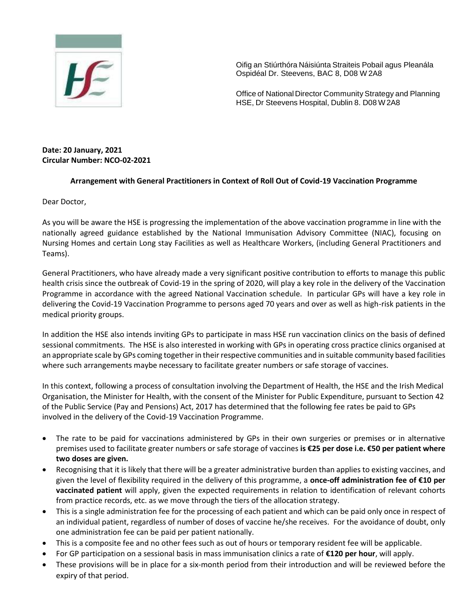

Oifig an Stiúrthóra Náisiúnta Straiteis Pobail agus Pleanála Ospidéal Dr. Steevens, BAC 8, D08 W 2A8

Office of National Director Community Strategy and Planning HSE, Dr Steevens Hospital, Dublin 8. D08 W2A8

## **Date: 20 January, 2021 Circular Number: NCO-02-2021**

## **Arrangement with General Practitioners in Context of Roll Out of Covid-19 Vaccination Programme**

Dear Doctor,

As you will be aware the HSE is progressing the implementation of the above vaccination programme in line with the nationally agreed guidance established by the National Immunisation Advisory Committee (NIAC), focusing on Nursing Homes and certain Long stay Facilities as well as Healthcare Workers, (including General Practitioners and Teams).

General Practitioners, who have already made a very significant positive contribution to efforts to manage this public health crisis since the outbreak of Covid-19 in the spring of 2020, will play a key role in the delivery of the Vaccination Programme in accordance with the agreed National Vaccination schedule. In particular GPs will have a key role in delivering the Covid-19 Vaccination Programme to persons aged 70 years and over as well as high-risk patients in the medical priority groups.

In addition the HSE also intends inviting GPs to participate in mass HSE run vaccination clinics on the basis of defined sessional commitments. The HSE is also interested in working with GPs in operating cross practice clinics organised at an appropriate scale by GPs coming together in their respective communities and in suitable community based facilities where such arrangements maybe necessary to facilitate greater numbers or safe storage of vaccines.

In this context, following a process of consultation involving the Department of Health, the HSE and the Irish Medical Organisation, the Minister for Health, with the consent of the Minister for Public Expenditure, pursuant to Section 42 of the Public Service (Pay and Pensions) Act, 2017 has determined that the following fee rates be paid to GPs involved in the delivery of the Covid-19 Vaccination Programme.

- The rate to be paid for vaccinations administered by GPs in their own surgeries or premises or in alternative premises used to facilitate greater numbers or safe storage of vaccines **is €25 per dose i.e. €50 per patient where two doses are given.**
- Recognising that it is likely that there will be a greater administrative burden than applies to existing vaccines, and given the level of flexibility required in the delivery of this programme, a **once-off administration fee of €10 per vaccinated patient** will apply, given the expected requirements in relation to identification of relevant cohorts from practice records, etc. as we move through the tiers of the allocation strategy.
- This is a single administration fee for the processing of each patient and which can be paid only once in respect of an individual patient, regardless of number of doses of vaccine he/she receives. For the avoidance of doubt, only one administration fee can be paid per patient nationally.
- This is a composite fee and no other fees such as out of hours or temporary resident fee will be applicable.
- For GP participation on a sessional basis in mass immunisation clinics a rate of **€120 per hour**, will apply.
- These provisions will be in place for a six-month period from their introduction and will be reviewed before the expiry of that period.